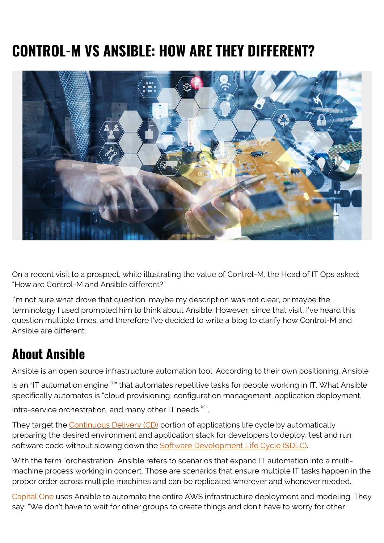# **CONTROL-M VS ANSIBLE: HOW ARE THEY DIFFERENT?**



On a recent visit to a prospect, while illustrating the value of Control-M, the Head of IT Ops asked: "How are Control-M and Ansible different?"

I'm not sure what drove that question, maybe my description was not clear, or maybe the terminology I used prompted him to think about Ansible. However, since that visit, I've heard this question multiple times, and therefore I've decided to write a blog to clarify how Control-M and Ansible are different.

### **About Ansible**

Ansible is an open source infrastructure automation tool. According to their own positioning, Ansible

is an "IT automation engine <sup>(1)</sup>" that automates repetitive tasks for people working in IT. What Ansible specifically automates is "cloud provisioning, configuration management, application deployment,

intra-service orchestration, and many other IT needs<sup>(2)</sup>".

They target the [Continuous Delivery \(CD\)](https://www.bmc.com/blogs/what-is-ci-cd/) portion of applications life cycle by automatically preparing the desired environment and application stack for developers to deploy, test and run software code without slowing down the [Software Development Life Cycle \(SDLC\).](https://www.bmc.com/blogs/sdlc-software-development-lifecycle/)

With the term "orchestration" Ansible refers to scenarios that expand IT automation into a multimachine process working in concert. Those are scenarios that ensure multiple IT tasks happen in the proper order across multiple machines and can be replicated wherever and whenever needed.

[Capital One](https://www.ansible.com/success-stories/capital-one) uses Ansible to automate the entire AWS infrastructure deployment and modeling. They say: "We don't have to wait for other groups to create things and don't have to worry for other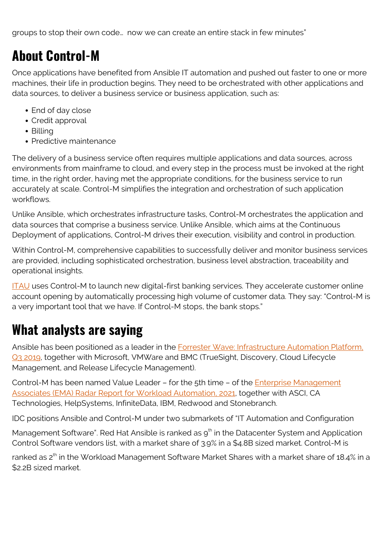groups to stop their own code… now we can create an entire stack in few minutes"

## **About Control-M**

Once applications have benefited from Ansible IT automation and pushed out faster to one or more machines, their life in production begins. They need to be orchestrated with other applications and data sources, to deliver a business service or business application, such as:

- End of day close
- Credit approval
- Billina
- Predictive maintenance

The delivery of a business service often requires multiple applications and data sources, across environments from mainframe to cloud, and every step in the process must be invoked at the right time, in the right order, having met the appropriate conditions, for the business service to run accurately at scale. Control-M simplifies the integration and orchestration of such application workflows.

Unlike Ansible, which orchestrates infrastructure tasks, Control-M orchestrates the application and data sources that comprise a business service. Unlike Ansible, which aims at the Continuous Deployment of applications, Control-M drives their execution, visibility and control in production.

Within Control-M, comprehensive capabilities to successfully deliver and monitor business services are provided, including sophisticated orchestration, business level abstraction, traceability and operational insights.

[ITAU](https://blogs.bmc.com/customers/itau-unibanco.html) uses Control-M to launch new digital-first banking services. They accelerate customer online account opening by automatically processing high volume of customer data. They say: "Control-M is a very important tool that we have. If Control-M stops, the bank stops."

### **What analysts are saying**

Ansible has been positioned as a leader in the **Forrester Wave: Infrastructure Automation Platform**, [Q3 2019,](https://www.forrester.com/report/The+Forrester+Wave+Infrastructure+Automation+Platforms+Q3+2019/-/E-RES146715) together with Microsoft, VMWare and BMC (TrueSight, Discovery, Cloud Lifecycle Management, and Release Lifecycle Management).

Control-M has been named Value Leader – for the 5th time – of the [Enterprise Management](https://blogs.bmc.com/forms/ema-radar-report-workload-automation.html) [Associates \(EMA\) Radar Report for Workload Automation, 2021,](https://blogs.bmc.com/forms/ema-radar-report-workload-automation.html) together with ASCI, CA Technologies, HelpSystems, InfiniteData, IBM, Redwood and Stonebranch.

IDC positions Ansible and Control-M under two submarkets of "IT Automation and Configuration

Management Software". Red Hat Ansible is ranked as  $g<sup>th</sup>$  in the Datacenter System and Application Control Software vendors list, with a market share of 3.9% in a \$4.8B sized market. Control-M is

ranked as 2<sup>th</sup> in the Workload Management Software Market Shares with a market share of 18.4% in a \$2.2B sized market.